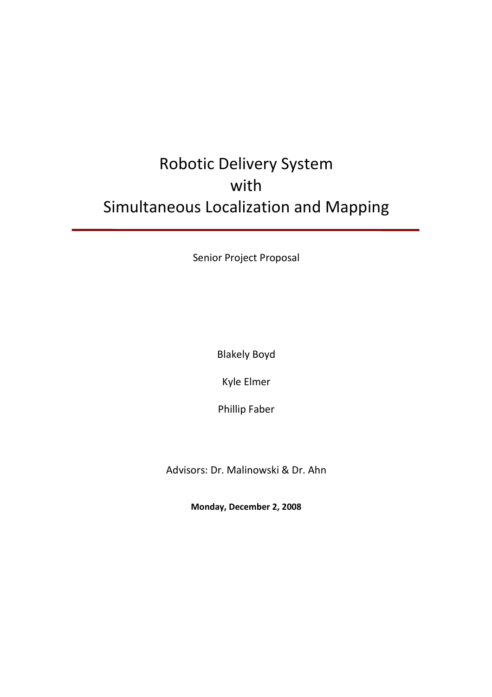# Robotic Delivery System with Simultaneous Localization and Mapping

Senior Project Proposal

Blakely Boyd

Kyle Elmer

Phillip Faber

Advisors: Dr. Malinowski & Dr. Ahn

**Monday, December 2, 2008**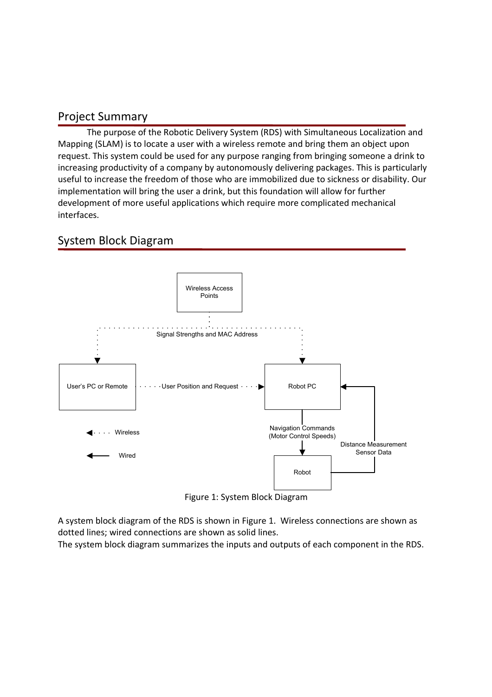#### Project Summary

The purpose of the Robotic Delivery System (RDS) with Simultaneous Localization and Mapping (SLAM) is to locate a user with a wireless remote and bring them an object upon request. This system could be used for any purpose ranging from bringing someone a drink to increasing productivity of a company by autonomously delivering packages. This is particularly useful to increase the freedom of those who are immobilized due to sickness or disability. Our implementation will bring the user a drink, but this foundation will allow for further development of more useful applications which require more complicated mechanical interfaces.

# System Block Diagram



Figure 1: System Block Diagram

A system block diagram of the RDS is shown in Figure 1. Wireless connections are shown as dotted lines; wired connections are shown as solid lines.

The system block diagram summarizes the inputs and outputs of each component in the RDS.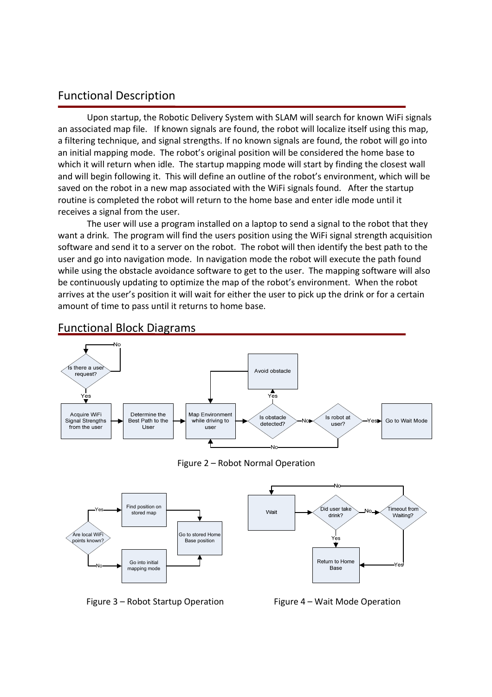#### Functional Description

Upon startup, the Robotic Delivery System with SLAM will search for known WiFi signals an associated map file. If known signals are found, the robot will localize itself using this map, a filtering technique, and signal strengths. If no known signals are found, the robot will go into an initial mapping mode. The robot's original position will be considered the home base to which it will return when idle. The startup mapping mode will start by finding the closest wall and will begin following it. This will define an outline of the robot's environment, which will be saved on the robot in a new map associated with the WiFi signals found. After the startup routine is completed the robot will return to the home base and enter idle mode until it receives a signal from the user.

 The user will use a program installed on a laptop to send a signal to the robot that they want a drink. The program will find the users position using the WiFi signal strength acquisition software and send it to a server on the robot. The robot will then identify the best path to the user and go into navigation mode. In navigation mode the robot will execute the path found while using the obstacle avoidance software to get to the user. The mapping software will also be continuously updating to optimize the map of the robot's environment. When the robot arrives at the user's position it will wait for either the user to pick up the drink or for a certain amount of time to pass until it returns to home base.



#### Functional Block Diagrams

Figure 2 – Robot Normal Operation



Figure 3 – Robot Startup Operation Figure 4 – Wait Mode Operation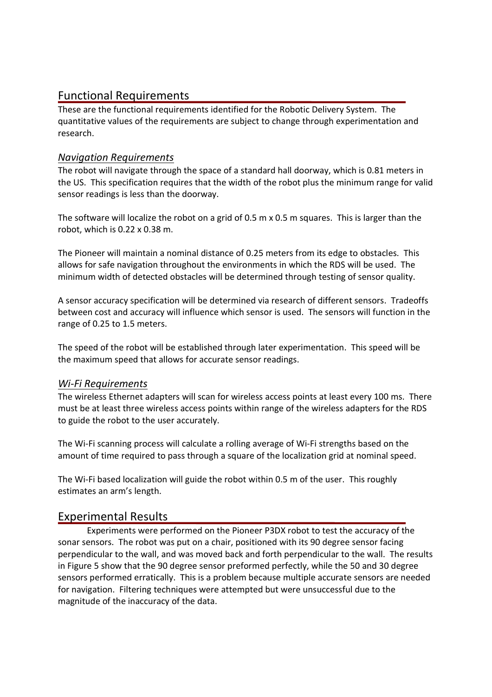# Functional Requirements

These are the functional requirements identified for the Robotic Delivery System. The quantitative values of the requirements are subject to change through experimentation and research.

#### *Navigation Requirements*

The robot will navigate through the space of a standard hall doorway, which is 0.81 meters in the US. This specification requires that the width of the robot plus the minimum range for valid sensor readings is less than the doorway.

The software will localize the robot on a grid of 0.5 m x 0.5 m squares. This is larger than the robot, which is 0.22 x 0.38 m.

The Pioneer will maintain a nominal distance of 0.25 meters from its edge to obstacles. This allows for safe navigation throughout the environments in which the RDS will be used. The minimum width of detected obstacles will be determined through testing of sensor quality.

A sensor accuracy specification will be determined via research of different sensors. Tradeoffs between cost and accuracy will influence which sensor is used. The sensors will function in the range of 0.25 to 1.5 meters.

The speed of the robot will be established through later experimentation. This speed will be the maximum speed that allows for accurate sensor readings.

#### *Wi-Fi Requirements*

The wireless Ethernet adapters will scan for wireless access points at least every 100 ms. There must be at least three wireless access points within range of the wireless adapters for the RDS to guide the robot to the user accurately.

The Wi-Fi scanning process will calculate a rolling average of Wi-Fi strengths based on the amount of time required to pass through a square of the localization grid at nominal speed.

The Wi-Fi based localization will guide the robot within 0.5 m of the user. This roughly estimates an arm's length.

# Experimental Results

Experiments were performed on the Pioneer P3DX robot to test the accuracy of the sonar sensors. The robot was put on a chair, positioned with its 90 degree sensor facing perpendicular to the wall, and was moved back and forth perpendicular to the wall. The results in Figure 5 show that the 90 degree sensor preformed perfectly, while the 50 and 30 degree sensors performed erratically. This is a problem because multiple accurate sensors are needed for navigation. Filtering techniques were attempted but were unsuccessful due to the magnitude of the inaccuracy of the data.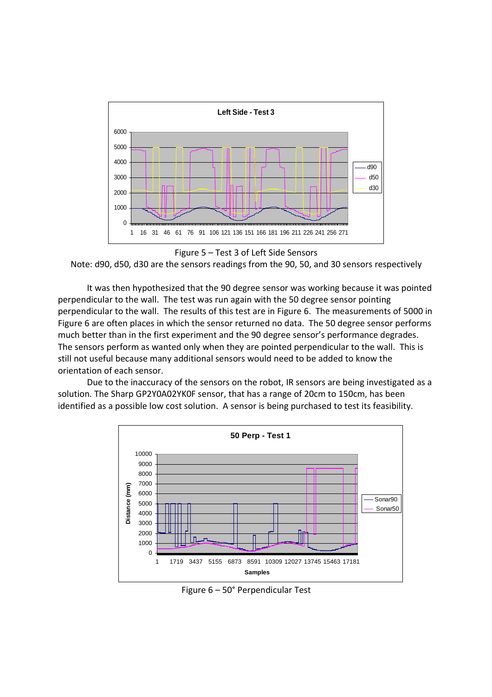

Figure 5 – Test 3 of Left Side Sensors

Note: d90, d50, d30 are the sensors readings from the 90, 50, and 30 sensors respectively

It was then hypothesized that the 90 degree sensor was working because it was pointed perpendicular to the wall. The test was run again with the 50 degree sensor pointing perpendicular to the wall. The results of this test are in Figure 6. The measurements of 5000 in Figure 6 are often places in which the sensor returned no data. The 50 degree sensor performs much better than in the first experiment and the 90 degree sensor's performance degrades. The sensors perform as wanted only when they are pointed perpendicular to the wall. This is still not useful because many additional sensors would need to be added to know the orientation of each sensor.

Due to the inaccuracy of the sensors on the robot, IR sensors are being investigated as a solution. The Sharp GP2Y0A02YK0F sensor, that has a range of 20cm to 150cm, has been identified as a possible low cost solution. A sensor is being purchased to test its feasibility.



Figure 6 – 50° Perpendicular Test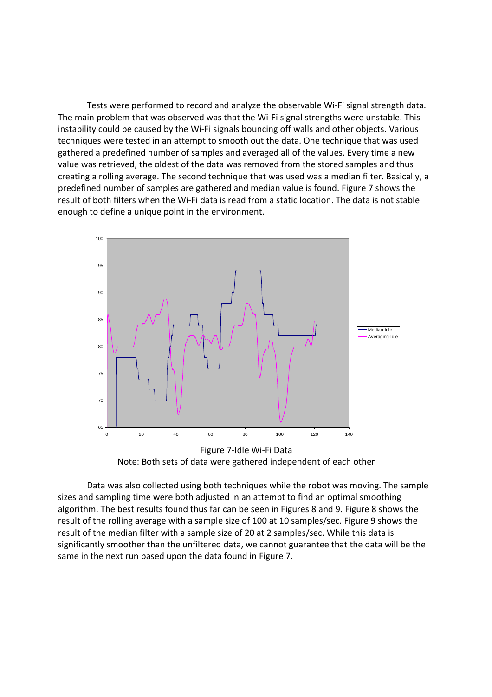Tests were performed to record and analyze the observable Wi-Fi signal strength data. The main problem that was observed was that the Wi-Fi signal strengths were unstable. This instability could be caused by the Wi-Fi signals bouncing off walls and other objects. Various techniques were tested in an attempt to smooth out the data. One technique that was used gathered a predefined number of samples and averaged all of the values. Every time a new value was retrieved, the oldest of the data was removed from the stored samples and thus creating a rolling average. The second technique that was used was a median filter. Basically, a predefined number of samples are gathered and median value is found. Figure 7 shows the result of both filters when the Wi-Fi data is read from a static location. The data is not stable enough to define a unique point in the environment.



Note: Both sets of data were gathered independent of each other

 Data was also collected using both techniques while the robot was moving. The sample sizes and sampling time were both adjusted in an attempt to find an optimal smoothing algorithm. The best results found thus far can be seen in Figures 8 and 9. Figure 8 shows the result of the rolling average with a sample size of 100 at 10 samples/sec. Figure 9 shows the result of the median filter with a sample size of 20 at 2 samples/sec. While this data is significantly smoother than the unfiltered data, we cannot guarantee that the data will be the same in the next run based upon the data found in Figure 7.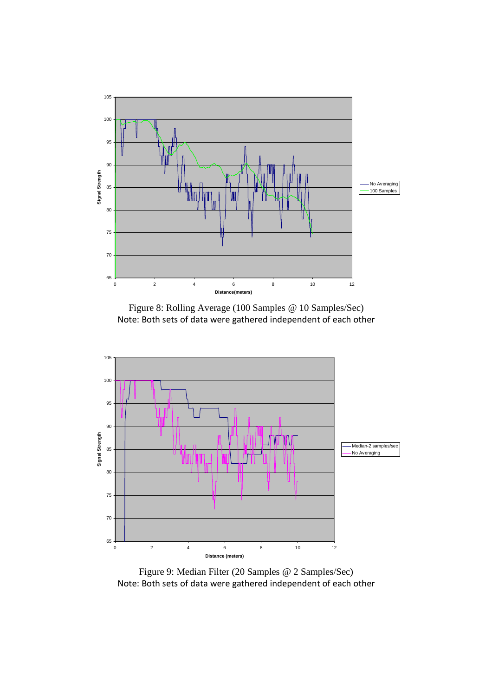

Figure 8: Rolling Average (100 Samples @ 10 Samples/Sec) Note: Both sets of data were gathered independent of each other



Figure 9: Median Filter (20 Samples @ 2 Samples/Sec) Note: Both sets of data were gathered independent of each other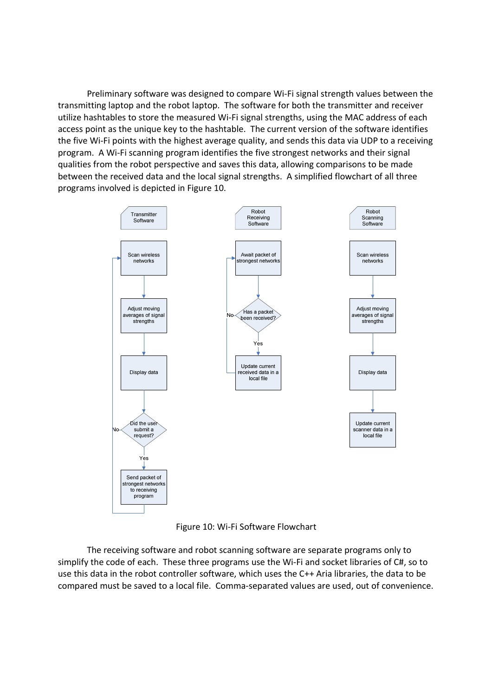Preliminary software was designed to compare Wi-Fi signal strength values between the transmitting laptop and the robot laptop. The software for both the transmitter and receiver utilize hashtables to store the measured Wi-Fi signal strengths, using the MAC address of each access point as the unique key to the hashtable. The current version of the software identifies the five Wi-Fi points with the highest average quality, and sends this data via UDP to a receiving program. A Wi-Fi scanning program identifies the five strongest networks and their signal qualities from the robot perspective and saves this data, allowing comparisons to be made between the received data and the local signal strengths. A simplified flowchart of all three programs involved is depicted in Figure 10.



Figure 10: Wi-Fi Software Flowchart

 The receiving software and robot scanning software are separate programs only to simplify the code of each. These three programs use the Wi-Fi and socket libraries of C#, so to use this data in the robot controller software, which uses the C++ Aria libraries, the data to be compared must be saved to a local file. Comma-separated values are used, out of convenience.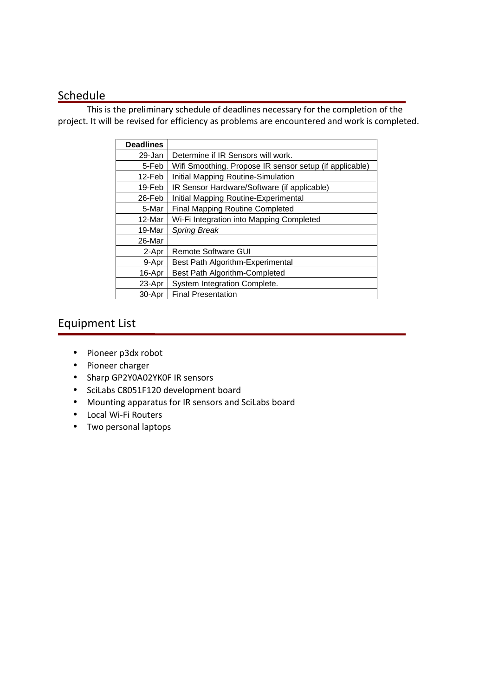## **Schedule**

 This is the preliminary schedule of deadlines necessary for the completion of the project. It will be revised for efficiency as problems are encountered and work is completed.

| <b>Deadlines</b> |                                                         |
|------------------|---------------------------------------------------------|
| 29-Jan           | Determine if IR Sensors will work.                      |
| 5-Feb            | Wifi Smoothing. Propose IR sensor setup (if applicable) |
| 12-Feb           | Initial Mapping Routine-Simulation                      |
| 19-Feb           | IR Sensor Hardware/Software (if applicable)             |
| 26-Feb           | Initial Mapping Routine-Experimental                    |
| 5-Mar            | <b>Final Mapping Routine Completed</b>                  |
| 12-Mar           | Wi-Fi Integration into Mapping Completed                |
| 19-Mar           | <b>Spring Break</b>                                     |
| 26-Mar           |                                                         |
| 2-Apr            | Remote Software GUI                                     |
| 9-Apr            | Best Path Algorithm-Experimental                        |
| 16-Apr           | <b>Best Path Algorithm-Completed</b>                    |
| 23-Apr           | System Integration Complete.                            |
| 30-Apr           | <b>Final Presentation</b>                               |

# Equipment List

- Pioneer p3dx robot
- Pioneer charger
- Sharp GP2Y0A02YK0F IR sensors
- SciLabs C8051F120 development board
- Mounting apparatus for IR sensors and SciLabs board
- Local Wi-Fi Routers
- Two personal laptops